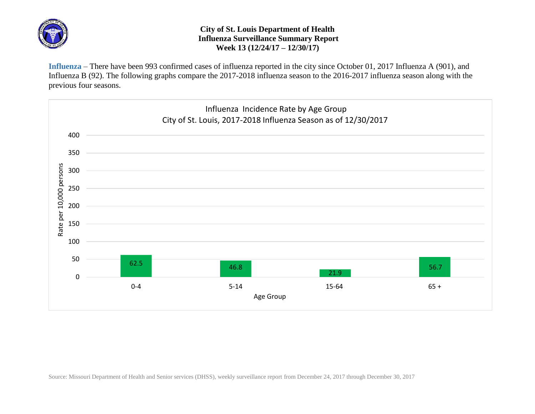

## **City of St. Louis Department of Health Influenza Surveillance Summary Report Week 13 (12/24/17 – 12/30/17)**

**Influenza** – There have been 993 confirmed cases of influenza reported in the city since October 01, 2017 Influenza A (901), and Influenza B (92). The following graphs compare the 2017-2018 influenza season to the 2016-2017 influenza season along with the previous four seasons.